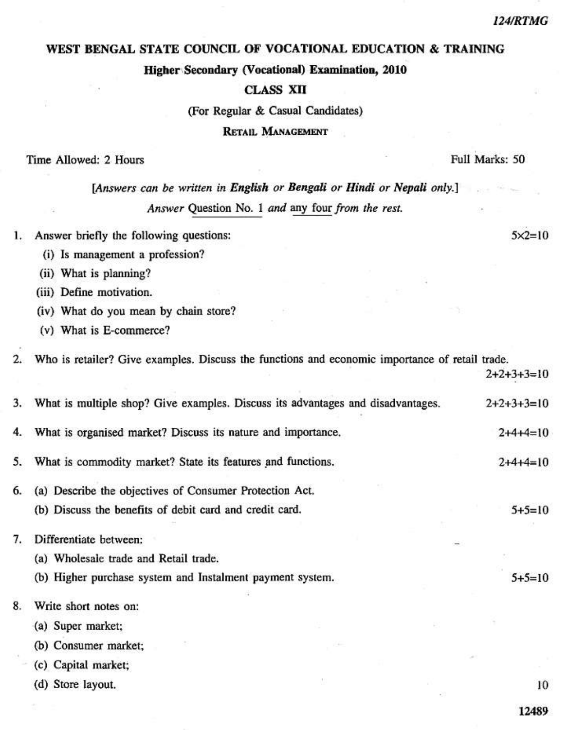#### 124/RTMG

 $5 \times 2 = 10$ 

## WEST BENGAL STATE COUNCIL OF VOCATIONAL EDUCATION & TRAINING

Higher Secondary (Vocational) Examination, 2010

### **CLASS XII**

(For Regular & Casual Candidates)

**RETAIL MANAGEMENT** 

#### Time Allowed: 2 Hours

Full Marks: 50

**START** 

# [Answers can be written in English or Bengali or Hindi or Nepali only.] Answer Question No. 1 and any four from the rest.

1. Answer briefly the following questions:

- (i) Is management a profession?
- (ii) What is planning?
- (iii) Define motivation.
- (iv) What do you mean by chain store?
- (v) What is E-commerce?

Who is retailer? Give examples. Discuss the functions and economic importance of retail trade.  $2.$ 

|    |                                                                                 |  | $2+2+3+3=10$ |
|----|---------------------------------------------------------------------------------|--|--------------|
| 3. | What is multiple shop? Give examples. Discuss its advantages and disadvantages. |  | $2+2+3+3=10$ |
| 4. | What is organised market? Discuss its nature and importance.                    |  | $2+4+4=10$   |
| 5. | What is commodity market? State its features and functions.                     |  | $2+4+4=10$   |
| 6. | (a) Describe the objectives of Consumer Protection Act.                         |  |              |
|    | (b) Discuss the benefits of debit card and credit card.                         |  | $5+5=10$     |
| 7. | Differentiate between:                                                          |  |              |
|    | (a) Wholesale trade and Retail trade.                                           |  |              |
|    | (b) Higher purchase system and Instalment payment system.                       |  | $5+5=10$     |
| 8. | Write short notes on:                                                           |  |              |
|    | (a) Super market;                                                               |  |              |
|    | (b) Consumer market;                                                            |  |              |
|    | (c) Capital market;                                                             |  |              |
|    | (d) Store layout.                                                               |  | 10           |